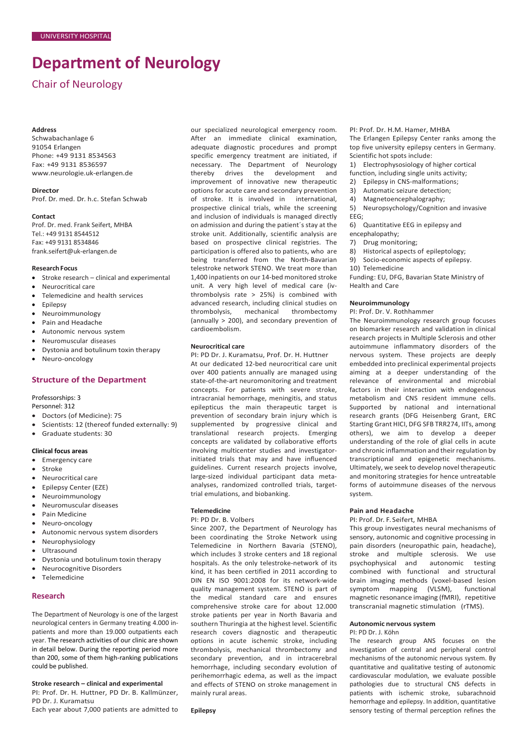# **Department of Neurology**

Chair of Neurology

#### **Address**

Schwabachanlage 6 91054 Erlangen Phone: +49 9131 8534563 Fax: +49 9131 8536597 [www.neurologie.uk-erlangen.de](http://www.neurologie.uk-erlangen.de/)

#### **Director**

Prof. Dr. med. Dr. h.c. Stefan Schwab

#### **Contact**

Prof. Dr. med. Frank Seifert, MHBA Tel.: +49 9131 8544512 Fax: +49 9131 8534846 frank.seifert@uk-erlangen.de

#### **ResearchFocus**

- Stroke research clinical and experimental
- Neurocritical care
- Telemedicine and health services
- Epilepsy
- Neuroimmunology
- Pain and Headache
- Autonomic nervous system
- Neuromuscular diseases
- Dystonia and botulinum toxin therapy
- Neuro-oncology

#### **Structure of the Department**

Professorships: 3

- Personnel: 312
- Doctors (of Medicine): 75
- Scientists: 12 (thereof funded externally: 9)
- Graduate students: 30

#### **Clinical focus areas**

- Emergency care
- Stroke
- Neurocritical care
- Epilepsy Center (EZE)
- Neuroimmunology
- Neuromuscular diseases
- Pain Medicine
- Neuro-oncology
- Autonomic nervous system disorders
- Neurophysiology
- Ultrasound
- Dystonia und botulinum toxin therapy
- Neurocognitive Disorders
- Telemedicine

#### **Research**

The Department of Neurology is one of the largest neurological centers in Germany treating 4.000 inpatients and more than 19.000 outpatients each year. The research activities of our clinic are shown in detail below. During the reporting period more than 200, some of them high-ranking publications could be published.

**Stroke research – clinical and experimental** PI: Prof. Dr. H. Huttner, PD Dr. B. Kallmünzer, PD Dr. J. Kuramatsu Each year about 7,000 patients are admitted to our specialized neurological emergency room. After an immediate clinical examination, adequate diagnostic procedures and prompt specific emergency treatment are initiated, if necessary. The Department of Neurology thereby drives the development and improvement of innovative new therapeutic options for acute care and secondary prevention of stroke. It is involved in international, prospective clinical trials, while the screening and inclusion of individuals is managed directly on admission and during the patient´s stay at the stroke unit. Additionally, scientific analysis are based on prospective clinical registries. The participation is offered also to patients, who are being transferred from the North-Bavarian telestroke network STENO. We treat more than 1,400 inpatients on our 14-bed monitored stroke unit. A very high level of medical care (ivthrombolysis rate > 25%) is combined with advanced research, including clinical studies on thrombolysis, mechanical thrombectomy (annually > 200), and secondary prevention of cardioembolism.

#### **Neurocritical care**

PI: PD Dr. J. Kuramatsu, Prof. Dr. H. Huttner

At our dedicated 12-bed neurocritical care unit over 400 patients annually are managed using state-of-the-art neuromonitoring and treatment concepts. For patients with severe stroke, intracranial hemorrhage, meningitis, and status epilepticus the main therapeutic target is prevention of secondary brain injury which is supplemented by progressive clinical and translational research projects. Emerging concepts are validated by collaborative efforts involving multicenter studies and investigatorinitiated trials that may and have influenced guidelines. Current research projects involve, large-sized individual participant data metaanalyses, randomized controlled trials, targettrial emulations, and biobanking.

#### **Telemedicine**

PI: PD Dr. B. Volbers

Since 2007, the Department of Neurology has been coordinating the Stroke Network using Telemedicine in Northern Bavaria (STENO), which includes 3 stroke centers and 18 regional hospitals. As the only telestroke-network of its kind, it has been certified in 2011 according to DIN EN ISO 9001:2008 for its network-wide quality management system. STENO is part of the medical standard care and ensures comprehensive stroke care for about 12.000 stroke patients per year in North Bavaria and southern Thuringia at the highest level. Scientific research covers diagnostic and therapeutic options in acute ischemic stroke, including thrombolysis, mechanical thrombectomy and secondary prevention, and in intracerebral hemorrhage, including secondary evolution of perihemorrhagic edema, as well as the impact and effects of STENO on stroke management in mainly rural areas.

## PI: Prof. Dr. H.M. Hamer, MHBA

The Erlangen Epilepsy Center ranks among the top five university epilepsy centers in Germany. Scientific hot spots include:

- 1) Electrophysosiology of higher cortical
- function, including single units activity;
- 2) Epilepsy in CNS-malformations;
- 3) Automatic seizure detection;
- 4) Magnetoencephalography;
- 5) Neuropsychology/Cognition and invasive EEG;
- 6) Quantitative EEG in epilepsy and encephalopathy;
- 7) Drug monitoring;
- 8) Historical aspects of epileptology;<br>9) Socio-economic aspects of epileps
- Socio-economic aspects of epilepsy.
- 10) Telemedicine

Funding: EU, DFG, Bavarian State Ministry of Health and Care

#### **Neuroimmunology**

#### PI: Prof. Dr. V. Rothhammer

The Neuroimmunology research group focuses on biomarker research and validation in clinical research projects in Multiple Sclerosis and other autoimmune inflammatory disorders of the nervous system. These projects are deeply embedded into preclinical experimental projects aiming at a deeper understanding of the relevance of environmental and microbial factors in their interaction with endogenous metabolism and CNS resident immune cells. Supported by national and international research grants (DFG Heisenberg Grant, ERC Starting Grant HICI, DFG SFB TRR274, IITs, among others), we aim to develop a deeper understanding of the role of glial cells in acute and chronic inflammation and their regulation by transcriptional and epigenetic mechanisms. Ultimately, we seek to develop novel therapeutic and monitoring strategies for hence untreatable forms of autoimmune diseases of the nervous system.

#### **Pain and Headache**

#### PI: Prof. Dr. F. Seifert, MHBA

This group investigates neural mechanisms of sensory, autonomic and cognitive processing in pain disorders (neuropathic pain, headache), stroke and multiple sclerosis. We use psychophysical and autonomic testing combined with functional and structural brain imaging methods (voxel-based lesion symptom mapping (VLSM), functional magnetic resonance imaging (fMRI), repetitive transcranial magnetic stimulation (rTMS).

#### **Autonomic nervoussystem** PI: PD Dr. J. Köhn

The research group ANS focuses on the investigation of central and peripheral control mechanisms of the autonomic nervous system. By quantitative and qualitative testing of autonomic cardiovascular modulation, we evaluate possible pathologies due to structural CNS defects in patients with ischemic stroke, subarachnoid hemorrhage and epilepsy. In addition, quantitative sensory testing of thermal perception refines the